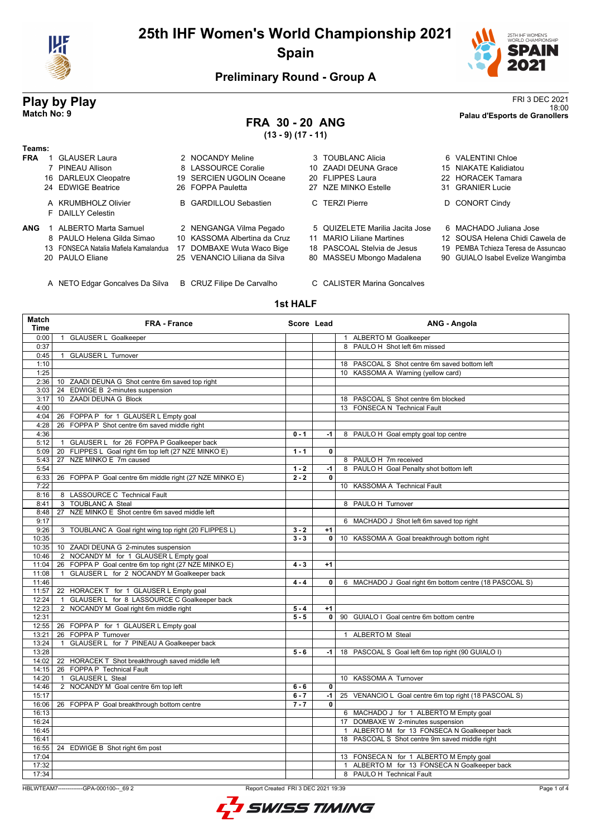



18:00 **Match No: 9 Palau d'Esports de Granollers**

## **Preliminary Round - Group A**

# **Play by Play**<br>Match No: 9<br>Palau d'Esports de Granollers

## **FRA 30 - 20 ANG**

**(13 - 9) (17 - 11)**

| Teams:     |                                          |     |                              |                                 |                                     |
|------------|------------------------------------------|-----|------------------------------|---------------------------------|-------------------------------------|
| <b>FRA</b> | <b>GLAUSER Laura</b>                     |     | 2 NOCANDY Meline             | 3 TOUBLANC Alicia               | 6 VALENTINI Chloe                   |
|            | 7 PINEAU Allison                         |     | 8 LASSOURCE Coralie          | 10 ZAADI DEUNA Grace            | 15 NIAKATE Kalidiatou               |
|            | 16 DARLEUX Cleopatre                     | 19. | SERCIEN UGOLIN Oceane        | 20 FLIPPES Laura                | 22 HORACEK Tamara                   |
|            | 24 EDWIGE Beatrice                       |     | 26 FOPPA Pauletta            | 27 NZE MINKO Estelle            | 31 GRANIER Lucie                    |
|            | A KRUMBHOLZ Olivier<br>F DAILLY Celestin |     | <b>B</b> GARDILLOU Sebastien | C TERZI Pierre                  | D CONORT Cindy                      |
| <b>ANG</b> | ALBERTO Marta Samuel                     |     | 2 NENGANGA Vilma Pegado      | 5 QUIZELETE Marilia Jacita Jose | 6 MACHADO Juliana Jose              |
|            | 8 PAULO Helena Gilda Simao               |     | 10 KASSOMA Albertina da Cruz | 11 MARIO Liliane Martines       | 12 SOUSA Helena Chidi Cawela de     |
|            | 13 FONSECA Natalia Mafiela Kamalandua    |     | 17 DOMBAXE Wuta Waco Bige    | 18 PASCOAL Stelvia de Jesus     | 19 PEMBA Tchieza Teresa de Assuncao |
|            | 20 PAULO Eliane                          |     | 25 VENANCIO Liliana da Silva | 80 MASSEU Mbongo Madalena       | 90 GUIALO Isabel Evelize Wangimba   |
|            | A NETO Edgar Goncalves Da Silva          |     | B CRUZ Filipe De Carvalho    | C CALISTER Marina Goncalves     |                                     |

### **1st HALF**

| Match<br><b>Time</b> | <b>FRA - France</b>                                        | Score Lead         |              | ANG - Angola                                                                            |
|----------------------|------------------------------------------------------------|--------------------|--------------|-----------------------------------------------------------------------------------------|
| 0:00                 | 1 GLAUSER L Goalkeeper                                     |                    |              | 1 ALBERTO M Goalkeeper                                                                  |
| 0:37                 |                                                            |                    |              | 8 PAULO H Shot left 6m missed                                                           |
| 0:45                 | <b>GLAUSER L Turnover</b><br>$\mathbf{1}$                  |                    |              |                                                                                         |
| 1:10                 |                                                            |                    |              | 18 PASCOAL S Shot centre 6m saved bottom left                                           |
| 1:25                 |                                                            |                    |              | 10 KASSOMA A Warning (yellow card)                                                      |
| 2:36                 | 10 ZAADI DEUNA G Shot centre 6m saved top right            |                    |              |                                                                                         |
| 3:03                 | 24 EDWIGE B 2-minutes suspension                           |                    |              |                                                                                         |
| 3:17                 | 10 ZAADI DEUNA G Block                                     |                    |              | 18 PASCOAL S Shot centre 6m blocked                                                     |
| 4:00                 |                                                            |                    |              | 13 FONSECA N Technical Fault                                                            |
| 4:04                 | 26 FOPPA P for 1 GLAUSER L Empty goal                      |                    |              |                                                                                         |
| 4:28                 | 26 FOPPA P Shot centre 6m saved middle right               |                    |              |                                                                                         |
| 4:36                 |                                                            | $0 - 1$            | -1           | 8 PAULO H Goal empty goal top centre                                                    |
| 5:12                 | GLAUSER L for 26 FOPPA P Goalkeeper back<br>$\overline{1}$ |                    |              |                                                                                         |
| 5:09                 | FLIPPES L Goal right 6m top left (27 NZE MINKO E)<br>20    | $1 - 1$            | $\mathbf 0$  |                                                                                         |
| 5:43                 | NZE MINKO E 7m caused<br>27                                |                    |              | 8 PAULO H 7m received                                                                   |
| 5:54                 |                                                            | $1 - 2$            | $-1$         | 8 PAULO H Goal Penalty shot bottom left                                                 |
| 6:33                 | 26 FOPPA P Goal centre 6m middle right (27 NZE MINKO E)    | $2 - 2$            | $\mathbf 0$  |                                                                                         |
| 7:22                 |                                                            |                    |              | 10 KASSOMA A Technical Fault                                                            |
| 8:16                 | 8 LASSOURCE C Technical Fault                              |                    |              |                                                                                         |
| 8:41                 | <b>TOUBLANC A Steal</b><br>3                               |                    |              | 8 PAULO H Turnover                                                                      |
| 8:48                 | NZE MINKO E Shot centre 6m saved middle left<br>27         |                    |              |                                                                                         |
| 9:17                 |                                                            |                    |              | 6 MACHADO J Shot left 6m saved top right                                                |
| 9:26                 | 3 TOUBLANC A Goal right wing top right (20 FLIPPES L)      | $3 - 2$            | $+1$         |                                                                                         |
| 10:35                |                                                            | $3 - 3$            | 0            | 10 KASSOMA A Goal breakthrough bottom right                                             |
| 10:35                | 10 ZAADI DEUNA G 2-minutes suspension                      |                    |              |                                                                                         |
| 10:46                | 2 NOCANDY M for 1 GLAUSER L Empty goal                     |                    |              |                                                                                         |
| 11:04                | 26 FOPPA P Goal centre 6m top right (27 NZE MINKO E)       | $4 - 3$            | $+1$         |                                                                                         |
| 11:08                | GLAUSER L for 2 NOCANDY M Goalkeeper back<br>$\mathbf{1}$  |                    |              |                                                                                         |
| 11:46                |                                                            | $4 - 4$            | $\mathbf 0$  | 6 MACHADO J Goal right 6m bottom centre (18 PASCOAL S)                                  |
| 11:57                | 22 HORACEK T for 1 GLAUSER L Empty goal                    |                    |              |                                                                                         |
| 12:24                | GLAUSER L for 8 LASSOURCE C Goalkeeper back                |                    |              |                                                                                         |
| 12:23                | 2 NOCANDY M Goal right 6m middle right                     | $5 - 4$            | $+1$         |                                                                                         |
| 12:31                |                                                            | $\overline{5} - 5$ | $\mathbf{0}$ | 90 GUIALO I Goal centre 6m bottom centre                                                |
| 12:55                | 26 FOPPA P for 1 GLAUSER L Empty goal                      |                    |              |                                                                                         |
| 13:21                | 26 FOPPA P Turnover                                        |                    |              | 1 ALBERTO M Steal                                                                       |
| 13:24                | GLAUSER L for 7 PINEAU A Goalkeeper back<br>$\overline{1}$ |                    |              |                                                                                         |
| 13:28                |                                                            | $5 - 6$            | $-1$         | 18 PASCOAL S Goal left 6m top right (90 GUIALO I)                                       |
| 14:02                | 22 HORACEK T Shot breakthrough saved middle left           |                    |              |                                                                                         |
| 14:15                | 26 FOPPA P Technical Fault                                 |                    |              |                                                                                         |
| 14:20                | <b>GLAUSER L Steal</b><br>$\overline{1}$                   |                    |              | 10 KASSOMA A Turnover                                                                   |
| 14:46                | 2 NOCANDY M Goal centre 6m top left                        | $6 - 6$            | $\mathbf{0}$ |                                                                                         |
| 15:17                |                                                            | $6 - 7$            | $-1$         | 25 VENANCIO L Goal centre 6m top right (18 PASCOAL S)                                   |
| 16:06                | 26 FOPPA P Goal breakthrough bottom centre                 | $7 - 7$            | 0            |                                                                                         |
| 16:13                |                                                            |                    |              | 6 MACHADO J for 1 ALBERTO M Empty goal                                                  |
| 16:24                |                                                            |                    |              | 17 DOMBAXE W 2-minutes suspension<br>1 ALBERTO M for 13 FONSECA N Goalkeeper back       |
| 16:45                |                                                            |                    |              |                                                                                         |
| 16:41                |                                                            |                    |              | 18 PASCOAL S Shot centre 9m saved middle right                                          |
| 16:55<br>17:04       | 24 EDWIGE B Shot right 6m post                             |                    |              |                                                                                         |
| 17:32                |                                                            |                    |              | 13 FONSECA N for 1 ALBERTO M Empty goal<br>1 ALBERTO M for 13 FONSECA N Goalkeeper back |
| 17.34                |                                                            |                    |              | 8 PAULOH Technical Fault                                                                |
|                      |                                                            |                    |              |                                                                                         |

HBLWTEAM7--------------GPA-000100--\_69 2 Report Created FRI 3 DEC 2021 19:39

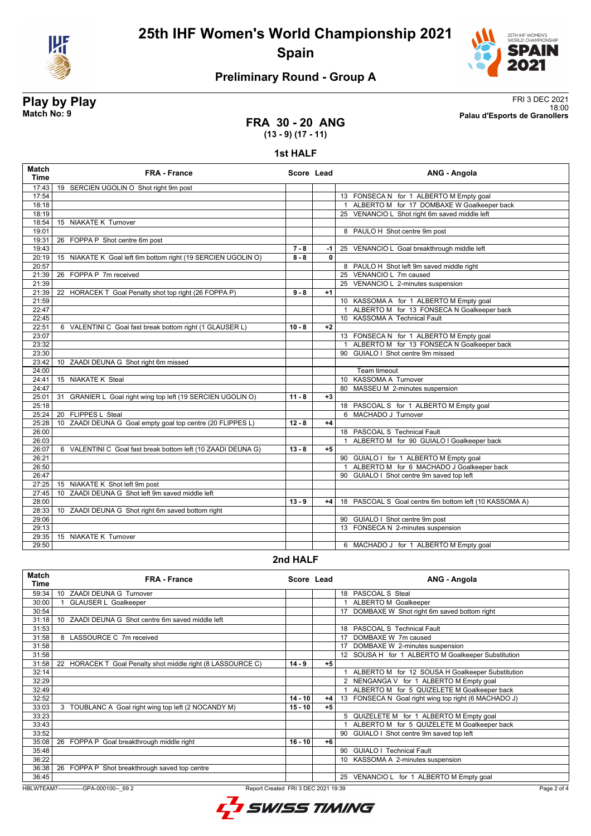



## **Preliminary Round - Group A**

**Play by Play**<br>Match No: 9<br>Palau d'Esports de Granollers 18:00 **Match No: 9 Palau d'Esports de Granollers**

#### **FRA 30 - 20 ANG (13 - 9) (17 - 11)**

#### **1st HALF**

| <b>Match</b><br><b>Time</b> | <b>FRA - France</b>                                                        | Score Lead |              | <b>ANG - Angola</b>                                    |
|-----------------------------|----------------------------------------------------------------------------|------------|--------------|--------------------------------------------------------|
| 17:43                       | 19 SERCIEN UGOLIN O Shot right 9m post                                     |            |              |                                                        |
| 17:54                       |                                                                            |            |              | 13 FONSECA N for 1 ALBERTO M Empty goal                |
| 18:18                       |                                                                            |            |              | 1 ALBERTO M for 17 DOMBAXE W Goalkeeper back           |
| 18:19                       |                                                                            |            |              | 25 VENANCIO L Shot right 6m saved middle left          |
| 18:54                       | 15 NIAKATE K Turnover                                                      |            |              |                                                        |
| 19:01                       |                                                                            |            |              | 8 PAULO H Shot centre 9m post                          |
| 19:31                       | 26 FOPPA P Shot centre 6m post                                             |            |              |                                                        |
| 19:43                       |                                                                            | $7 - 8$    | -1 l         | 25 VENANCIO L Goal breakthrough middle left            |
| 20:19                       | 15 NIAKATE K Goal left 6m bottom right (19 SERCIEN UGOLIN O)               | $8 - 8$    | $\mathbf{0}$ |                                                        |
| 20:57                       |                                                                            |            |              | 8 PAULO H Shot left 9m saved middle right              |
| 21:39                       | 26 FOPPA P 7m received                                                     |            |              | 25 VENANCIO L 7m caused                                |
| 21:39                       |                                                                            |            |              | 25 VENANCIO L 2-minutes suspension                     |
| 21:39                       | 22 HORACEK T Goal Penalty shot top right (26 FOPPA P)                      | $9 - 8$    | $+1$         |                                                        |
| 21:59                       |                                                                            |            |              | 10 KASSOMA A for 1 ALBERTO M Empty goal                |
| 22:47                       |                                                                            |            |              | 1 ALBERTO M for 13 FONSECA N Goalkeeper back           |
| 22:45                       |                                                                            |            |              | 10 KASSOMA A Technical Fault                           |
| 22:51                       | 6 VALENTINI C Goal fast break bottom right (1 GLAUSER L)                   | $10 - 8$   | $+2$         |                                                        |
| 23:07                       |                                                                            |            |              | 13 FONSECA N for 1 ALBERTO M Empty goal                |
| 23:32                       |                                                                            |            |              | ALBERTO M for 13 FONSECA N Goalkeeper back             |
| 23:30                       |                                                                            |            |              | 90 GUIALO I Shot centre 9m missed                      |
| 23:42                       | 10 ZAADI DEUNA G Shot right 6m missed                                      |            |              |                                                        |
| 24:00                       |                                                                            |            |              | Team timeout                                           |
| 24:41                       | 15 NIAKATE K Steal                                                         |            |              | 10 KASSOMA A Turnover                                  |
| 24:47                       |                                                                            |            |              | 80 MASSEU M 2-minutes suspension                       |
| 25:01                       | 31<br>GRANIER L Goal right wing top left (19 SERCIEN UGOLIN O)             | $11 - 8$   | $+3$         |                                                        |
| 25:18                       |                                                                            |            |              | 18 PASCOAL S for 1 ALBERTO M Empty goal                |
| 25:24                       | 20 FLIPPES L Steal                                                         |            |              | 6 MACHADO J Turnover                                   |
| 25:28                       | ZAADI DEUNA G Goal empty goal top centre (20 FLIPPES L)<br>10 <sup>°</sup> | $12 - 8$   | $+4$         |                                                        |
| 26:00                       |                                                                            |            |              | 18 PASCOAL S Technical Fault                           |
| 26:03                       |                                                                            |            |              | 1 ALBERTO M for 90 GUIALO I Goalkeeper back            |
| 26:07                       | 6 VALENTINI C Goal fast break bottom left (10 ZAADI DEUNA G)               | $13 - 8$   | $+5$         |                                                        |
| 26:21                       |                                                                            |            |              | 90 GUIALO I for 1 ALBERTO M Empty goal                 |
| 26:50                       |                                                                            |            |              | 1 ALBERTO M for 6 MACHADO J Goalkeeper back            |
| 26:47                       |                                                                            |            |              | 90 GUIALO I Shot centre 9m saved top left              |
| 27:25                       | 15 NIAKATE K Shot left 9m post                                             |            |              |                                                        |
| 27:45                       | ZAADI DEUNA G Shot left 9m saved middle left<br>10 <sup>1</sup>            |            |              |                                                        |
| 28:00                       |                                                                            | $13 - 9$   | +4           | 18 PASCOAL S Goal centre 6m bottom left (10 KASSOMA A) |
| 28:33                       | 10 ZAADI DEUNA G Shot right 6m saved bottom right                          |            |              |                                                        |
| 29:06                       |                                                                            |            |              | 90 GUIALO I Shot centre 9m post                        |
| 29:13                       |                                                                            |            |              | 13 FONSECA N 2-minutes suspension                      |
| 29:35                       | 15 NIAKATE K Turnover                                                      |            |              |                                                        |
| 29:50                       |                                                                            |            |              | 6 MACHADO J for 1 ALBERTO M Empty goal                 |
|                             |                                                                            |            |              |                                                        |

#### **2nd HALF**

| <b>Match</b><br><b>Time</b> | <b>FRA - France</b>                                               | Score Lead |      |    | ANG - Angola                                         |
|-----------------------------|-------------------------------------------------------------------|------------|------|----|------------------------------------------------------|
| 59:34                       | ZAADI DEUNA G Turnover<br>10 <sup>1</sup>                         |            |      |    | 18 PASCOAL S Steal                                   |
| 30:00                       | <b>GLAUSER L Goalkeeper</b>                                       |            |      |    | ALBERTO M Goalkeeper                                 |
| 30:54                       |                                                                   |            |      | 17 | DOMBAXE W Shot right 6m saved bottom right           |
| 31:18                       | ZAADI DEUNA G Shot centre 6m saved middle left<br>10 <sup>1</sup> |            |      |    |                                                      |
| 31:53                       |                                                                   |            |      |    | 18 PASCOAL S Technical Fault                         |
| 31:58                       | 8 LASSOURCE C 7m received                                         |            |      | 17 | DOMBAXE W 7m caused                                  |
| 31:58                       |                                                                   |            |      | 17 | DOMBAXE W 2-minutes suspension                       |
| 31:58                       |                                                                   |            |      |    | 12 SOUSA H for 1 ALBERTO M Goalkeeper Substitution   |
| 31:58                       | HORACEK T Goal Penalty shot middle right (8 LASSOURCE C)<br>22    | $14 - 9$   | $+5$ |    |                                                      |
| 32:14                       |                                                                   |            |      |    | ALBERTO M for 12 SOUSA H Goalkeeper Substitution     |
| 32:29                       |                                                                   |            |      |    | 2 NENGANGA V for 1 ALBERTO M Empty goal              |
| 32:49                       |                                                                   |            |      |    | ALBERTO M for 5 QUIZELETE M Goalkeeper back          |
| 32:52                       |                                                                   | $14 - 10$  | $+4$ |    | 13 FONSECA N Goal right wing top right (6 MACHADO J) |
| 33:03                       | 3 TOUBLANC A Goal right wing top left (2 NOCANDY M)               | $15 - 10$  | $+5$ |    |                                                      |
| 33:23                       |                                                                   |            |      |    | 5 QUIZELETE M for 1 ALBERTO M Empty goal             |
| 33:43                       |                                                                   |            |      |    | ALBERTO M for 5 QUIZELETE M Goalkeeper back          |
| 33:52                       |                                                                   |            |      | 90 | GUIALO I Shot centre 9m saved top left               |
| 35:08                       | FOPPA P Goal breakthrough middle right<br>26                      | $16 - 10$  | $+6$ |    |                                                      |
| 35:48                       |                                                                   |            |      | 90 | <b>GUIALO I Technical Fault</b>                      |
| 36:22                       |                                                                   |            |      |    | KASSOMA A 2-minutes suspension                       |
| 36:38                       | 26<br>FOPPA P Shot breakthrough saved top centre                  |            |      |    |                                                      |
| 36:45                       |                                                                   |            |      | 25 | VENANCIO L for 1 ALBERTO M Empty goal                |

HBLWTEAM7-------------GPA-000100--\_69 2 Report Created FRI 3 DEC 2021 19:39

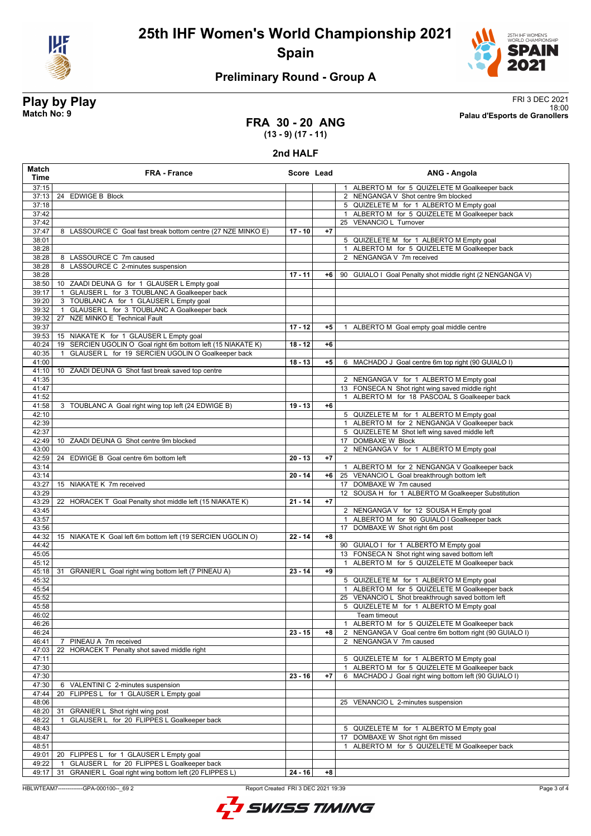



## **Preliminary Round - Group A**

**Play by Play**<br>Match No: 9<br>Palau d'Esports de Granollers 18:00 **Match No: 9 Palau d'Esports de Granollers**

### **FRA 30 - 20 ANG (13 - 9) (17 - 11)**

#### **2nd HALF**

| Match<br>Time  | <b>FRA - France</b>                                                                   | Score Lead |      | ANG - Angola                                                                                        |
|----------------|---------------------------------------------------------------------------------------|------------|------|-----------------------------------------------------------------------------------------------------|
| 37:15          |                                                                                       |            |      | 1 ALBERTO M for 5 QUIZELETE M Goalkeeper back                                                       |
| 37:13          | 24 EDWIGE B Block                                                                     |            |      | 2 NENGANGA V Shot centre 9m blocked                                                                 |
| 37:18          |                                                                                       |            |      | 5 QUIZELETE M for 1 ALBERTO M Empty goal                                                            |
| 37:42          |                                                                                       |            |      | 1 ALBERTO M for 5 QUIZELETE M Goalkeeper back                                                       |
| 37:42          |                                                                                       |            |      | 25 VENANCIO L Turnover                                                                              |
| 37:47          | 8 LASSOURCE C Goal fast break bottom centre (27 NZE MINKO E)                          | $17 - 10$  | $+7$ |                                                                                                     |
| 38:01          |                                                                                       |            |      | 5 QUIZELETE M for 1 ALBERTO M Empty goal                                                            |
| 38:28          |                                                                                       |            |      | 1 ALBERTO M for 5 QUIZELETE M Goalkeeper back                                                       |
| 38:28          | 8 LASSOURCE C 7m caused                                                               |            |      | 2 NENGANGA V 7m received                                                                            |
| 38:28          | LASSOURCE C 2-minutes suspension<br>8                                                 |            |      |                                                                                                     |
| 38:28          |                                                                                       | $17 - 11$  | +6   | 90 GUIALO I Goal Penalty shot middle right (2 NENGANGA V)                                           |
| 38:50          | 10 ZAADI DEUNA G for 1 GLAUSER L Empty goal                                           |            |      |                                                                                                     |
| 39:17          | GLAUSER L for 3 TOUBLANC A Goalkeeper back<br>3 TOUBLANC A for 1 GLAUSER L Empty goal |            |      |                                                                                                     |
| 39:20<br>39:32 | GLAUSER L for 3 TOUBLANC A Goalkeeper back<br>$\mathbf{1}$                            |            |      |                                                                                                     |
| 39:32          | NZE MINKO E Technical Fault<br>27                                                     |            |      |                                                                                                     |
| 39:37          |                                                                                       | $17 - 12$  | $+5$ | ALBERTO M Goal empty goal middle centre<br>1                                                        |
| 39:53          | 15 NIAKATE K for 1 GLAUSER L Empty goal                                               |            |      |                                                                                                     |
| 40:24          | 19 SERCIEN UGOLIN O Goal right 6m bottom left (15 NIAKATE K)                          | $18 - 12$  | $+6$ |                                                                                                     |
| 40:35          | GLAUSER L for 19 SERCIEN UGOLIN O Goalkeeper back                                     |            |      |                                                                                                     |
| 41:00          |                                                                                       | $18 - 13$  | $+5$ | 6 MACHADO J Goal centre 6m top right (90 GUIALO I)                                                  |
| 41:10          | 10 ZAADI DEUNA G Shot fast break saved top centre                                     |            |      |                                                                                                     |
| 41:35          |                                                                                       |            |      | 2 NENGANGA V for 1 ALBERTO M Empty goal                                                             |
| 41:47          |                                                                                       |            |      | 13 FONSECA N Shot right wing saved middle right                                                     |
| 41:52          |                                                                                       |            |      | ALBERTO M for 18 PASCOAL S Goalkeeper back<br>$\mathbf{1}$                                          |
| 41:58          | 3 TOUBLANC A Goal right wing top left (24 EDWIGE B)                                   | $19 - 13$  | $+6$ |                                                                                                     |
| 42:10          |                                                                                       |            |      | 5 QUIZELETE M for 1 ALBERTO M Empty goal                                                            |
| 42:39          |                                                                                       |            |      | 1 ALBERTO M for 2 NENGANGA V Goalkeeper back                                                        |
| 42:37          |                                                                                       |            |      | 5 QUIZELETE M Shot left wing saved middle left                                                      |
| 42:49          | 10 ZAADI DEUNA G Shot centre 9m blocked                                               |            |      | 17 DOMBAXE W Block                                                                                  |
| 43:00          |                                                                                       |            |      | 2 NENGANGA V for 1 ALBERTO M Empty goal                                                             |
| 42:59          | 24 EDWIGE B Goal centre 6m bottom left                                                | $20 - 13$  | $+7$ |                                                                                                     |
| 43:14          |                                                                                       |            |      | 1 ALBERTO M for 2 NENGANGA V Goalkeeper back                                                        |
| 43:14          |                                                                                       | $20 - 14$  | $+6$ | 25 VENANCIO L Goal breakthrough bottom left                                                         |
| 43:27          | 15 NIAKATE K 7m received                                                              |            |      | 17 DOMBAXE W 7m caused                                                                              |
| 43:29          |                                                                                       |            |      | 12 SOUSA H for 1 ALBERTO M Goalkeeper Substitution                                                  |
| 43:29<br>43:45 | 22 HORACEK T Goal Penalty shot middle left (15 NIAKATE K)                             | $21 - 14$  | $+7$ |                                                                                                     |
| 43:57          |                                                                                       |            |      | 2 NENGANGA V for 12 SOUSA H Empty goal<br>ALBERTO M for 90 GUIALO I Goalkeeper back<br>$\mathbf{1}$ |
| 43:56          |                                                                                       |            |      | 17 DOMBAXE W Shot right 6m post                                                                     |
| 44:32          | 15 NIAKATE K Goal left 6m bottom left (19 SERCIEN UGOLIN O)                           | $22 - 14$  | $+8$ |                                                                                                     |
| 44:42          |                                                                                       |            |      | 90 GUIALO I for 1 ALBERTO M Empty goal                                                              |
| 45:05          |                                                                                       |            |      | 13 FONSECA N Shot right wing saved bottom left                                                      |
| 45:12          |                                                                                       |            |      | ALBERTO M for 5 QUIZELETE M Goalkeeper back<br>$\mathbf{1}$                                         |
| 45:18          | 31 GRANIER L Goal right wing bottom left (7 PINEAU A)                                 | $23 - 14$  | $+9$ |                                                                                                     |
| 45:32          |                                                                                       |            |      | 5 QUIZELETE M for 1 ALBERTO M Empty goal                                                            |
| 45:54          |                                                                                       |            |      | 1 ALBERTO M for 5 QUIZELETE M Goalkeeper back                                                       |
| 45:52          |                                                                                       |            |      | 25 VENANCIO L Shot breakthrough saved bottom left                                                   |
| 45:58          |                                                                                       |            |      | 5 QUIZELETE M for 1 ALBERTO M Empty goal                                                            |
| 46:02          |                                                                                       |            |      | Team timeout                                                                                        |
| 46:26          |                                                                                       |            |      | ALBERTO M for 5 QUIZELETE M Goalkeeper back<br>$\mathbf{1}$                                         |
| 46:24          |                                                                                       | $23 - 15$  | +8   | 2 NENGANGA V Goal centre 6m bottom right (90 GUIALO I)                                              |
| 46:41          | PINEAU A 7m received<br>7                                                             |            |      | 2 NENGANGA V 7m caused                                                                              |
| 47:03          | HORACEK T Penalty shot saved middle right<br>22                                       |            |      |                                                                                                     |
| 47:11          |                                                                                       |            |      | 5 QUIZELETE M for 1 ALBERTO M Empty goal                                                            |
| 47:30          |                                                                                       |            |      | ALBERTO M for 5 QUIZELETE M Goalkeeper back<br>$\mathbf{1}$                                         |
| 47:30          |                                                                                       | $23 - 16$  | $+7$ | 6 MACHADO J Goal right wing bottom left (90 GUIALO I)                                               |
| 47:30          | 6 VALENTINI C 2-minutes suspension                                                    |            |      |                                                                                                     |
| 47:44          | FLIPPES L for 1 GLAUSER L Empty goal<br>20                                            |            |      |                                                                                                     |
| 48:06          |                                                                                       |            |      | 25 VENANCIO L 2-minutes suspension                                                                  |
| 48:20          | GRANIER L Shot right wing post<br>31                                                  |            |      |                                                                                                     |
| 48:22          | GLAUSER L for 20 FLIPPES L Goalkeeper back                                            |            |      |                                                                                                     |
| 48:43<br>48:47 |                                                                                       |            |      | 5 QUIZELETE M for 1 ALBERTO M Empty goal                                                            |
| 48:51          |                                                                                       |            |      | DOMBAXE W Shot right 6m missed<br>17<br>ALBERTO M for 5 QUIZELETE M Goalkeeper back                 |
| 49:01          | 20 FLIPPES L for 1 GLAUSER L Empty goal                                               |            |      |                                                                                                     |
| 49:22          | GLAUSER L for 20 FLIPPES L Goalkeeper back<br>$\overline{1}$                          |            |      |                                                                                                     |
| 49:17          | GRANIER L Goal right wing bottom left (20 FLIPPES L)<br>31                            | $24 - 16$  | $+8$ |                                                                                                     |

HBLWTEAM7--------------GPA-000100--\_69 2 Report Created FRI 3 DEC 2021 19:39